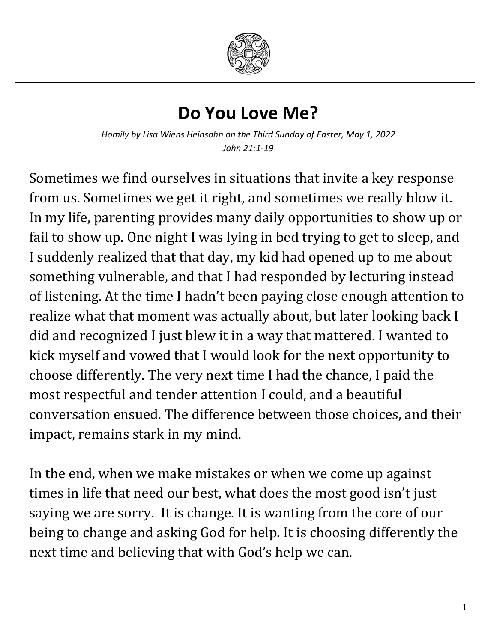

## **Do You Love Me?**

*Homily by Lisa Wiens Heinsohn on the Third Sunday of Easter, May 1, 2022 John 21:1-19*

Sometimes we find ourselves in situations that invite a key response from us. Sometimes we get it right, and sometimes we really blow it. In my life, parenting provides many daily opportunities to show up or fail to show up. One night I was lying in bed trying to get to sleep, and I suddenly realized that that day, my kid had opened up to me about something vulnerable, and that I had responded by lecturing instead of listening. At the time I hadn't been paying close enough attention to realize what that moment was actually about, but later looking back I did and recognized I just blew it in a way that mattered. I wanted to kick myself and vowed that I would look for the next opportunity to choose differently. The very next time I had the chance, I paid the most respectful and tender attention I could, and a beautiful conversation ensued. The difference between those choices, and their impact, remains stark in my mind.

In the end, when we make mistakes or when we come up against times in life that need our best, what does the most good isn't just saying we are sorry. It is change. It is wanting from the core of our being to change and asking God for help. It is choosing differently the next time and believing that with God's help we can.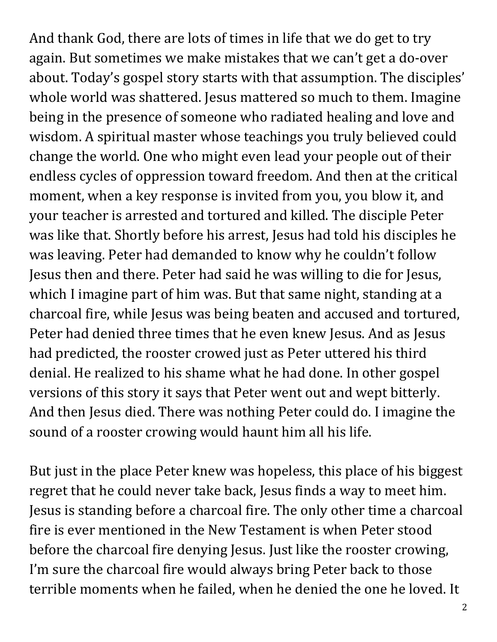And thank God, there are lots of times in life that we do get to try again. But sometimes we make mistakes that we can't get a do-over about. Today's gospel story starts with that assumption. The disciples' whole world was shattered. Jesus mattered so much to them. Imagine being in the presence of someone who radiated healing and love and wisdom. A spiritual master whose teachings you truly believed could change the world. One who might even lead your people out of their endless cycles of oppression toward freedom. And then at the critical moment, when a key response is invited from you, you blow it, and your teacher is arrested and tortured and killed. The disciple Peter was like that. Shortly before his arrest, Jesus had told his disciples he was leaving. Peter had demanded to know why he couldn't follow Jesus then and there. Peter had said he was willing to die for Jesus, which I imagine part of him was. But that same night, standing at a charcoal fire, while Jesus was being beaten and accused and tortured, Peter had denied three times that he even knew Jesus. And as Jesus had predicted, the rooster crowed just as Peter uttered his third denial. He realized to his shame what he had done. In other gospel versions of this story it says that Peter went out and wept bitterly. And then Jesus died. There was nothing Peter could do. I imagine the sound of a rooster crowing would haunt him all his life.

But just in the place Peter knew was hopeless, this place of his biggest regret that he could never take back, Jesus finds a way to meet him. Jesus is standing before a charcoal fire. The only other time a charcoal fire is ever mentioned in the New Testament is when Peter stood before the charcoal fire denying Jesus. Just like the rooster crowing, I'm sure the charcoal fire would always bring Peter back to those terrible moments when he failed, when he denied the one he loved. It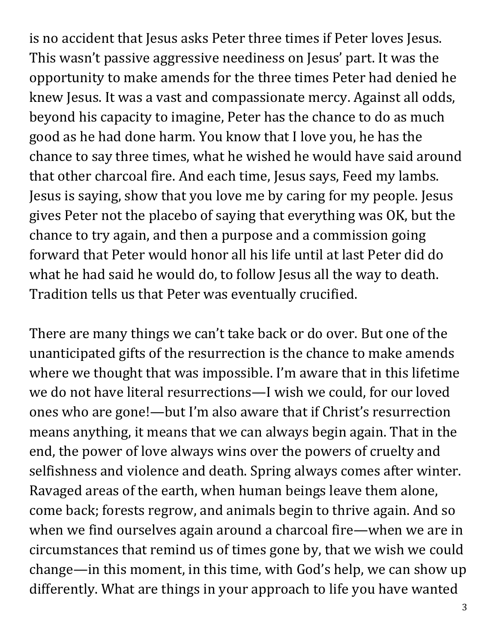is no accident that Jesus asks Peter three times if Peter loves Jesus. This wasn't passive aggressive neediness on Jesus' part. It was the opportunity to make amends for the three times Peter had denied he knew Jesus. It was a vast and compassionate mercy. Against all odds, beyond his capacity to imagine, Peter has the chance to do as much good as he had done harm. You know that I love you, he has the chance to say three times, what he wished he would have said around that other charcoal fire. And each time, Jesus says, Feed my lambs. Jesus is saying, show that you love me by caring for my people. Jesus gives Peter not the placebo of saying that everything was OK, but the chance to try again, and then a purpose and a commission going forward that Peter would honor all his life until at last Peter did do what he had said he would do, to follow Jesus all the way to death. Tradition tells us that Peter was eventually crucified.

There are many things we can't take back or do over. But one of the unanticipated gifts of the resurrection is the chance to make amends where we thought that was impossible. I'm aware that in this lifetime we do not have literal resurrections—I wish we could, for our loved ones who are gone!—but I'm also aware that if Christ's resurrection means anything, it means that we can always begin again. That in the end, the power of love always wins over the powers of cruelty and selfishness and violence and death. Spring always comes after winter. Ravaged areas of the earth, when human beings leave them alone, come back; forests regrow, and animals begin to thrive again. And so when we find ourselves again around a charcoal fire—when we are in circumstances that remind us of times gone by, that we wish we could change—in this moment, in this time, with God's help, we can show up differently. What are things in your approach to life you have wanted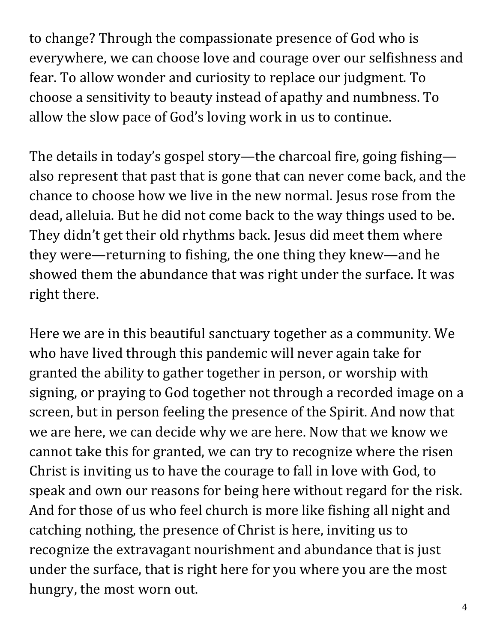to change? Through the compassionate presence of God who is everywhere, we can choose love and courage over our selfishness and fear. To allow wonder and curiosity to replace our judgment. To choose a sensitivity to beauty instead of apathy and numbness. To allow the slow pace of God's loving work in us to continue.

The details in today's gospel story—the charcoal fire, going fishing also represent that past that is gone that can never come back, and the chance to choose how we live in the new normal. Jesus rose from the dead, alleluia. But he did not come back to the way things used to be. They didn't get their old rhythms back. Jesus did meet them where they were—returning to fishing, the one thing they knew—and he showed them the abundance that was right under the surface. It was right there.

Here we are in this beautiful sanctuary together as a community. We who have lived through this pandemic will never again take for granted the ability to gather together in person, or worship with signing, or praying to God together not through a recorded image on a screen, but in person feeling the presence of the Spirit. And now that we are here, we can decide why we are here. Now that we know we cannot take this for granted, we can try to recognize where the risen Christ is inviting us to have the courage to fall in love with God, to speak and own our reasons for being here without regard for the risk. And for those of us who feel church is more like fishing all night and catching nothing, the presence of Christ is here, inviting us to recognize the extravagant nourishment and abundance that is just under the surface, that is right here for you where you are the most hungry, the most worn out.